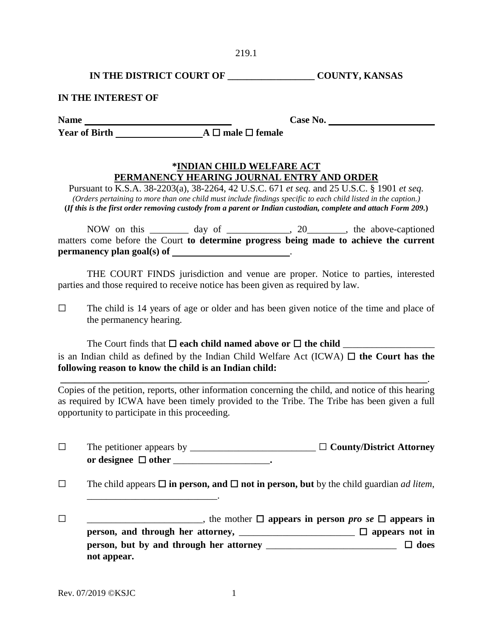**IN THE DISTRICT COURT OF \_\_\_\_\_\_\_\_\_\_\_\_\_\_\_\_\_\_ COUNTY, KANSAS** 

## **IN THE INTEREST OF**

Name Case No.

**Year of Birth A** ☐ **male** ☐ **female**

## **\*INDIAN CHILD WELFARE ACT PERMANENCY HEARING JOURNAL ENTRY AND ORDER**

Pursuant to K.S.A. 38-2203(a), 38-2264, 42 U.S.C. 671 *et seq.* and 25 U.S.C. § 1901 *et seq. (Orders pertaining to more than one child must include findings specific to each child listed in the caption.)* **(***If this is the first order removing custody from a parent or Indian custodian, complete and attach Form 209.***)** 

NOW on this \_\_\_\_\_\_\_ day of \_\_\_\_\_\_\_\_\_\_, 20\_\_\_\_\_\_, the above-captioned matters come before the Court **to determine progress being made to achieve the current permanency plan goal(s) of**  $\qquad \qquad$ 

THE COURT FINDS jurisdiction and venue are proper. Notice to parties, interested parties and those required to receive notice has been given as required by law.

 $\Box$  The child is 14 years of age or older and has been given notice of the time and place of the permanency hearing.

The Court finds that **□ each child named above or □ the child** is an Indian child as defined by the Indian Child Welfare Act (ICWA)  $\Box$  the Court has the **following reason to know the child is an Indian child:**

Copies of the petition, reports, other information concerning the child, and notice of this hearing as required by ICWA have been timely provided to the Tribe. The Tribe has been given a full opportunity to participate in this proceeding.

 **\_\_\_\_\_\_\_\_\_\_\_\_\_\_\_\_\_\_\_\_\_\_\_\_\_\_\_\_\_\_\_\_\_\_\_\_\_\_\_\_\_\_\_\_\_\_\_\_\_\_\_\_\_\_\_\_\_\_\_\_\_\_\_\_\_\_\_\_\_\_\_\_\_\_\_\_**.

☐ The petitioner appears by \_\_\_\_\_\_\_\_\_\_\_\_\_\_\_\_\_\_\_\_\_\_\_\_\_\_ ☐ **County/District Attorney or designee** ☐ **other** \_\_\_\_\_\_\_\_\_\_\_\_\_\_\_\_\_\_\_\_**.**

☐ The child appears ☐ **in person, and** ☐ **not in person, but** by the child guardian *ad litem*,

☐ \_\_\_\_\_\_\_\_\_\_\_\_\_\_\_\_\_\_\_\_\_\_\_\_, the mother ☐ **appears in person** *pro se* ☐ **appears in person, and through her attorney,**  $\Box$   $\Box$  **appears not in person, but by and through her attorney** \_\_\_\_\_\_\_\_\_\_\_\_\_\_\_\_\_\_\_\_\_\_\_\_\_\_\_☐ **does not appear.**

\_\_\_\_\_\_\_\_\_\_\_\_\_\_\_\_\_\_\_\_\_\_\_\_\_\_\_.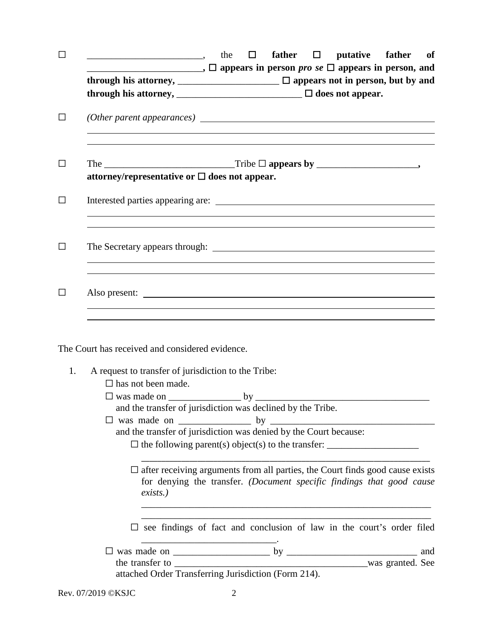| □       | <u>Note</u> 2 at the D father D putative father of                                                                                                                                                                                             |  |  |
|---------|------------------------------------------------------------------------------------------------------------------------------------------------------------------------------------------------------------------------------------------------|--|--|
|         | $\Box$ , $\Box$ appears in person <i>pro se</i> $\Box$ appears in person, and<br>through his attorney, $\Box$ appears not in person, but by and<br>through his attorney, $\frac{1}{\sqrt{1-\frac{1}{2}}}\sqrt{1-\frac{1}{2}}$ does not appear. |  |  |
| □       |                                                                                                                                                                                                                                                |  |  |
| ΙI      | attorney/representative or $\Box$ does not appear.                                                                                                                                                                                             |  |  |
| $\perp$ |                                                                                                                                                                                                                                                |  |  |
| $\perp$ |                                                                                                                                                                                                                                                |  |  |
| ΙI      | ,我们也不会有什么。""我们的人,我们也不会有什么?""我们的人,我们也不会有什么?""我们的人,我们也不会有什么?""我们的人,我们也不会有什么?""我们的人                                                                                                                                                               |  |  |
|         | The Court has received and considered evidence.                                                                                                                                                                                                |  |  |
| 1.      | A request to transfer of jurisdiction to the Tribe:<br>$\Box$ has not been made.                                                                                                                                                               |  |  |
|         |                                                                                                                                                                                                                                                |  |  |
|         | and the transfer of jurisdiction was declined by the Tribe.                                                                                                                                                                                    |  |  |
|         | and the transfer of jurisdiction was denied by the Court because:                                                                                                                                                                              |  |  |
|         | $\Box$ after receiving arguments from all parties, the Court finds good cause exists<br>for denying the transfer. (Document specific findings that good cause<br>exists.)                                                                      |  |  |
|         | $\square$ see findings of fact and conclusion of law in the court's order filed                                                                                                                                                                |  |  |
|         | and                                                                                                                                                                                                                                            |  |  |
|         |                                                                                                                                                                                                                                                |  |  |
|         |                                                                                                                                                                                                                                                |  |  |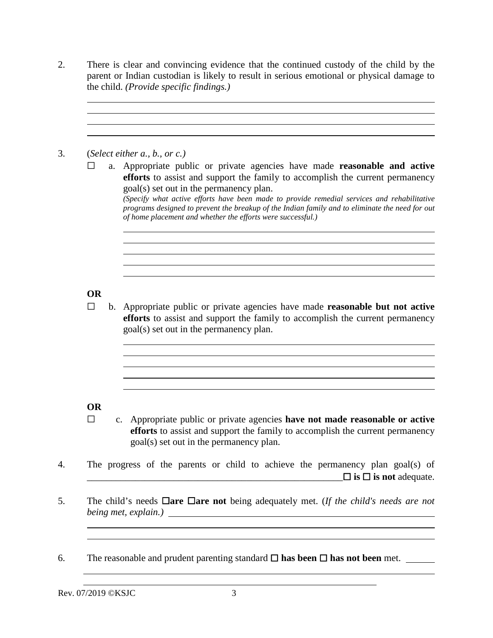2. There is clear and convincing evidence that the continued custody of the child by the parent or Indian custodian is likely to result in serious emotional or physical damage to the child. *(Provide specific findings.)*

3. (*Select either a., b., or c.)* 

 $\overline{a}$ 

 $\overline{a}$ 

☐ a. Appropriate public or private agencies have made **reasonable and active efforts** to assist and support the family to accomplish the current permanency goal(s) set out in the permanency plan.

*(Specify what active efforts have been made to provide remedial services and rehabilitative programs designed to prevent the breakup of the Indian family and to eliminate the need for out of home placement and whether the efforts were successful.)*

<u> 1989 - Jan Samuel Barbara, margaret eta idazlea (h. 1989).</u>

<u> 1980 - Johann Stoff, deutscher Stoff, der Stoff, deutscher Stoff, der Stoff, der Stoff, der Stoff, der Stoff</u>

# **OR**

 $\overline{a}$ 

☐ b. Appropriate public or private agencies have made **reasonable but not active efforts** to assist and support the family to accomplish the current permanency goal(s) set out in the permanency plan.

# **OR**

- ☐ c. Appropriate public or private agencies **have not made reasonable or active efforts** to assist and support the family to accomplish the current permanency goal(s) set out in the permanency plan.
- 4. The progress of the parents or child to achieve the permanency plan goal(s) of \_\_\_\_\_\_\_\_\_\_\_\_\_\_\_\_\_\_\_\_\_\_\_\_\_\_\_\_\_\_\_\_\_\_\_\_\_\_\_\_\_\_\_\_\_\_\_\_\_\_\_\_\_☐ **is** ☐ **is not** adequate.
- 5. The child's needs ☐**are** ☐**are not** being adequately met. (*If the child's needs are not being met, explain.)*
- 6. The reasonable and prudent parenting standard ☐ **has been** ☐ **has not been** met.

Rev. 07/2019 ©KSJC 3

 $\overline{a}$  $\overline{a}$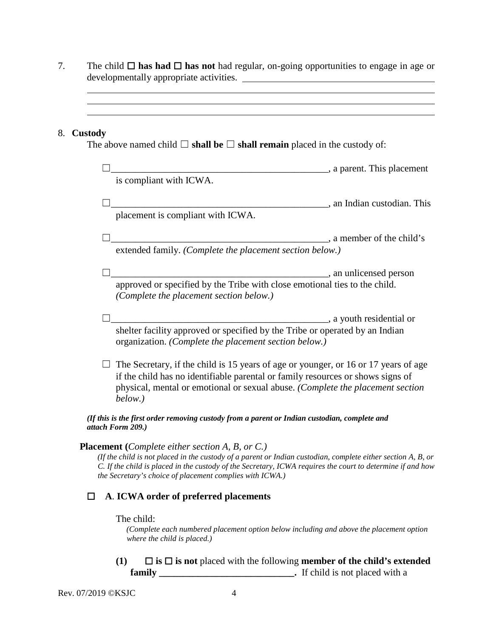7. The child ☐ **has had** ☐ **has not** had regular, on-going opportunities to engage in age or developmentally appropriate activities.

## 8. **Custody**

The above named child  $\Box$  **shall be**  $\Box$  **shall remain** placed in the custody of:

|                                                                                                                                                                                                                                                                                                                                                  | , a parent. This placement  |  |
|--------------------------------------------------------------------------------------------------------------------------------------------------------------------------------------------------------------------------------------------------------------------------------------------------------------------------------------------------|-----------------------------|--|
| is compliant with ICWA.                                                                                                                                                                                                                                                                                                                          |                             |  |
|                                                                                                                                                                                                                                                                                                                                                  | s an Indian custodian. This |  |
| placement is compliant with ICWA.                                                                                                                                                                                                                                                                                                                |                             |  |
|                                                                                                                                                                                                                                                                                                                                                  | , a member of the child's   |  |
| extended family. (Complete the placement section below.)                                                                                                                                                                                                                                                                                         |                             |  |
|                                                                                                                                                                                                                                                                                                                                                  | , an unlicensed person      |  |
| approved or specified by the Tribe with close emotional ties to the child.<br>(Complete the placement section below.)                                                                                                                                                                                                                            |                             |  |
|                                                                                                                                                                                                                                                                                                                                                  | , a youth residential or    |  |
| shelter facility approved or specified by the Tribe or operated by an Indian<br>organization. (Complete the placement section below.)                                                                                                                                                                                                            |                             |  |
| The Secretary, if the child is 15 years of age or younger, or 16 or 17 years of age<br>if the child has no identifiable parental or family resources or shows signs of<br>physical, mental or emotional or sexual abuse. (Complete the placement section<br>below.)                                                                              |                             |  |
| (If this is the first order removing custody from a parent or Indian custodian, complete and<br>attach Form 209.)                                                                                                                                                                                                                                |                             |  |
| <b>Placement</b> (Complete either section A, B, or C.)<br>(If the child is not placed in the custody of a parent or Indian custodian, complete either section A, B, or<br>C. If the child is placed in the custody of the Secretary, ICWA requires the court to determine if and how<br>the Secretary's choice of placement complies with ICWA.) |                             |  |
| A. ICWA order of preferred placements                                                                                                                                                                                                                                                                                                            |                             |  |
| The child:<br>(Complete each numbered placement option below including and above the placement option<br>where the child is placed.)                                                                                                                                                                                                             |                             |  |

**(1)** ☐ **is** ☐ **is not** placed with the following **member of the child's extended family \_\_\_\_\_\_\_\_\_\_\_\_\_\_\_\_\_\_\_\_\_\_\_\_\_\_\_\_.** If child is not placed with a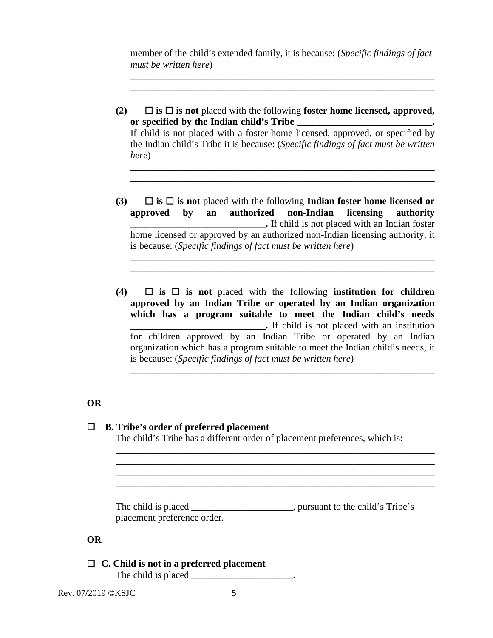member of the child's extended family, it is because: (*Specific findings of fact must be written here*)

\_\_\_\_\_\_\_\_\_\_\_\_\_\_\_\_\_\_\_\_\_\_\_\_\_\_\_\_\_\_\_\_\_\_\_\_\_\_\_\_\_\_\_\_\_\_\_\_\_\_\_\_\_\_\_\_\_\_\_\_\_\_\_ \_\_\_\_\_\_\_\_\_\_\_\_\_\_\_\_\_\_\_\_\_\_\_\_\_\_\_\_\_\_\_\_\_\_\_\_\_\_\_\_\_\_\_\_\_\_\_\_\_\_\_\_\_\_\_\_\_\_\_\_\_\_\_

**(2)** ☐ **is** ☐ **is not** placed with the following **foster home licensed, approved,**  or specified by the Indian child's Tribe **\_\_\_\_\_\_\_\_\_\_\_\_\_\_\_\_\_\_\_\_\_\_\_\_\_\_\_\_\_** If child is not placed with a foster home licensed, approved, or specified by the Indian child's Tribe it is because: (*Specific findings of fact must be written* 

\_\_\_\_\_\_\_\_\_\_\_\_\_\_\_\_\_\_\_\_\_\_\_\_\_\_\_\_\_\_\_\_\_\_\_\_\_\_\_\_\_\_\_\_\_\_\_\_\_\_\_\_\_\_\_\_\_\_\_\_\_\_\_ \_\_\_\_\_\_\_\_\_\_\_\_\_\_\_\_\_\_\_\_\_\_\_\_\_\_\_\_\_\_\_\_\_\_\_\_\_\_\_\_\_\_\_\_\_\_\_\_\_\_\_\_\_\_\_\_\_\_\_\_\_\_\_

**(3)** ☐ **is** ☐ **is not** placed with the following **Indian foster home licensed or approved by an authorized non-Indian licensing authority \_\_\_\_\_\_\_\_\_\_\_\_\_\_\_\_\_\_\_\_\_\_\_\_\_\_\_\_.** If child is not placed with an Indian foster home licensed or approved by an authorized non-Indian licensing authority, it is because: (*Specific findings of fact must be written here*)

\_\_\_\_\_\_\_\_\_\_\_\_\_\_\_\_\_\_\_\_\_\_\_\_\_\_\_\_\_\_\_\_\_\_\_\_\_\_\_\_\_\_\_\_\_\_\_\_\_\_\_\_\_\_\_\_\_\_\_\_\_\_\_ \_\_\_\_\_\_\_\_\_\_\_\_\_\_\_\_\_\_\_\_\_\_\_\_\_\_\_\_\_\_\_\_\_\_\_\_\_\_\_\_\_\_\_\_\_\_\_\_\_\_\_\_\_\_\_\_\_\_\_\_\_\_\_

**(4)** ☐ **is** ☐ **is not** placed with the following **institution for children approved by an Indian Tribe or operated by an Indian organization which has a program suitable to meet the Indian child's needs Example 2.1** If child is not placed with an institution for children approved by an Indian Tribe or operated by an Indian organization which has a program suitable to meet the Indian child's needs, it is because: (*Specific findings of fact must be written here*)

\_\_\_\_\_\_\_\_\_\_\_\_\_\_\_\_\_\_\_\_\_\_\_\_\_\_\_\_\_\_\_\_\_\_\_\_\_\_\_\_\_\_\_\_\_\_\_\_\_\_\_\_\_\_\_\_\_\_\_\_\_\_\_ \_\_\_\_\_\_\_\_\_\_\_\_\_\_\_\_\_\_\_\_\_\_\_\_\_\_\_\_\_\_\_\_\_\_\_\_\_\_\_\_\_\_\_\_\_\_\_\_\_\_\_\_\_\_\_\_\_\_\_\_\_\_\_

## **OR**

## ☐ **B. Tribe's order of preferred placement**

*here*)

The child's Tribe has a different order of placement preferences, which is:

\_\_\_\_\_\_\_\_\_\_\_\_\_\_\_\_\_\_\_\_\_\_\_\_\_\_\_\_\_\_\_\_\_\_\_\_\_\_\_\_\_\_\_\_\_\_\_\_\_\_\_\_\_\_\_\_\_\_\_\_\_\_\_\_\_\_ \_\_\_\_\_\_\_\_\_\_\_\_\_\_\_\_\_\_\_\_\_\_\_\_\_\_\_\_\_\_\_\_\_\_\_\_\_\_\_\_\_\_\_\_\_\_\_\_\_\_\_\_\_\_\_\_\_\_\_\_\_\_\_\_\_\_ \_\_\_\_\_\_\_\_\_\_\_\_\_\_\_\_\_\_\_\_\_\_\_\_\_\_\_\_\_\_\_\_\_\_\_\_\_\_\_\_\_\_\_\_\_\_\_\_\_\_\_\_\_\_\_\_\_\_\_\_\_\_\_\_\_\_ \_\_\_\_\_\_\_\_\_\_\_\_\_\_\_\_\_\_\_\_\_\_\_\_\_\_\_\_\_\_\_\_\_\_\_\_\_\_\_\_\_\_\_\_\_\_\_\_\_\_\_\_\_\_\_\_\_\_\_\_\_\_\_\_\_\_

The child is placed \_\_\_\_\_\_\_\_\_\_\_\_\_\_\_\_\_\_\_, pursuant to the child's Tribe's placement preference order.

## **OR**

☐ **C. Child is not in a preferred placement**

The child is placed \_\_\_\_\_\_\_\_\_\_\_\_\_\_\_\_\_\_\_\_\_.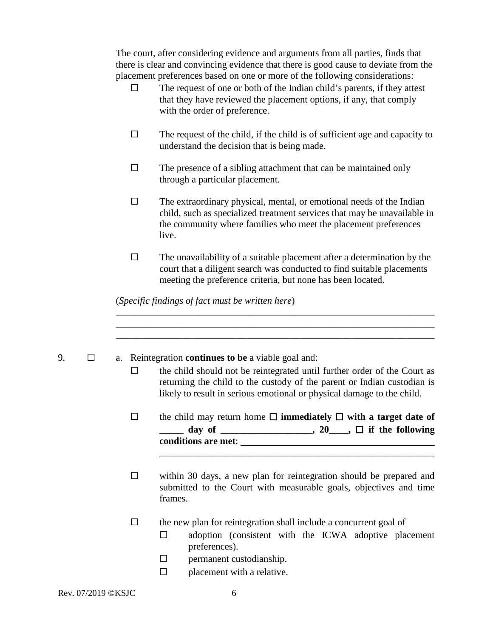The court, after considering evidence and arguments from all parties, finds that there is clear and convincing evidence that there is good cause to deviate from the placement preferences based on one or more of the following considerations:

- $\Box$  The request of one or both of the Indian child's parents, if they attest that they have reviewed the placement options, if any, that comply with the order of preference.
- $\Box$  The request of the child, if the child is of sufficient age and capacity to understand the decision that is being made.
- $\Box$  The presence of a sibling attachment that can be maintained only through a particular placement.
- $\Box$  The extraordinary physical, mental, or emotional needs of the Indian child, such as specialized treatment services that may be unavailable in the community where families who meet the placement preferences live.
- $\Box$  The unavailability of a suitable placement after a determination by the court that a diligent search was conducted to find suitable placements meeting the preference criteria, but none has been located.

\_\_\_\_\_\_\_\_\_\_\_\_\_\_\_\_\_\_\_\_\_\_\_\_\_\_\_\_\_\_\_\_\_\_\_\_\_\_\_\_\_\_\_\_\_\_\_\_\_\_\_\_\_\_\_\_\_\_\_\_\_\_\_\_\_\_

(*Specific findings of fact must be written here*)

\_\_\_\_\_\_\_\_\_\_\_\_\_\_\_\_\_\_\_\_\_\_\_\_\_\_\_\_\_\_\_\_\_\_\_\_\_\_\_\_\_\_\_\_\_\_\_\_\_\_\_\_\_\_\_\_\_\_\_\_\_\_\_\_\_\_ \_\_\_\_\_\_\_\_\_\_\_\_\_\_\_\_\_\_\_\_\_\_\_\_\_\_\_\_\_\_\_\_\_\_\_\_\_\_\_\_\_\_\_\_\_\_\_\_\_\_\_\_\_\_\_\_\_\_\_\_\_\_\_\_\_\_ 9. ☐ a. Reintegration **continues to be** a viable goal and:  $\Box$  the child should not be reintegrated until further order of the Court as returning the child to the custody of the parent or Indian custodian is likely to result in serious emotional or physical damage to the child. ☐ the child may return home ☐ **immediately** ☐ **with a target date of**   $\frac{1}{2}$  day of  $\frac{1}{2}$ , 20,  $\frac{1}{2}$  if the following **conditions are met**: \_\_\_\_\_\_\_\_\_\_\_\_\_\_\_\_\_\_\_\_\_\_\_\_\_\_\_\_\_\_\_\_\_\_\_\_\_\_\_\_\_\_\_\_\_\_\_\_\_\_\_\_\_\_\_\_\_  $\Box$  within 30 days, a new plan for reintegration should be prepared and submitted to the Court with measurable goals, objectives and time frames.  $\Box$  the new plan for reintegration shall include a concurrent goal of  $\Box$  adoption (consistent with the ICWA adoptive placement preferences).  $\Box$  permanent custodianship.  $\Box$  placement with a relative.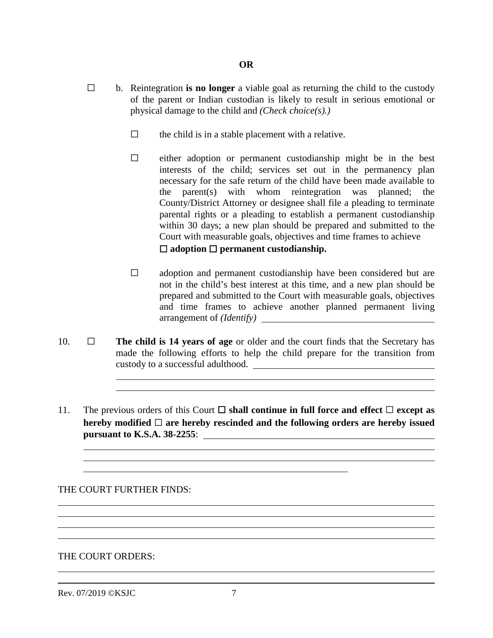- ☐ b. Reintegration **is no longer** a viable goal as returning the child to the custody of the parent or Indian custodian is likely to result in serious emotional or physical damage to the child and *(Check choice(s).)*
	- $\Box$  the child is in a stable placement with a relative.
	- $\Box$  either adoption or permanent custodianship might be in the best interests of the child; services set out in the permanency plan necessary for the safe return of the child have been made available to the parent(s) with whom reintegration was planned; the County/District Attorney or designee shall file a pleading to terminate parental rights or a pleading to establish a permanent custodianship within 30 days; a new plan should be prepared and submitted to the Court with measurable goals, objectives and time frames to achieve ☐ **adoption** ☐ **permanent custodianship.**
	- $\Box$  adoption and permanent custodianship have been considered but are not in the child's best interest at this time, and a new plan should be prepared and submitted to the Court with measurable goals, objectives and time frames to achieve another planned permanent living arrangement of *(Identify)*
- 10. ☐ **The child is 14 years of age** or older and the court finds that the Secretary has made the following efforts to help the child prepare for the transition from custody to a successful adulthood.
- 11. The previous orders of this Court  $\Box$  **shall continue in full force and effect**  $\Box$  **except as hereby modified** ☐ **are hereby rescinded and the following orders are hereby issued pursuant to K.S.A. 38-2255**:

THE COURT FURTHER FINDS:

 $\overline{a}$  $\overline{a}$ 

THE COURT ORDERS:

Rev. 07/2019 ©KSJC 7

 $\overline{a}$ 

 $\overline{a}$ 

 $\overline{a}$ 

 $\overline{a}$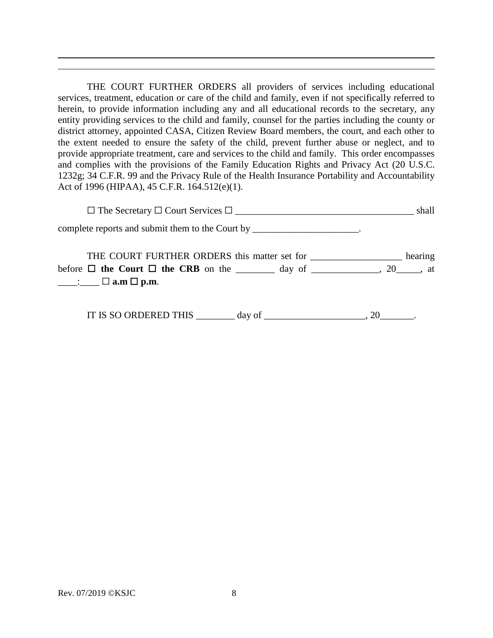THE COURT FURTHER ORDERS all providers of services including educational services, treatment, education or care of the child and family, even if not specifically referred to herein, to provide information including any and all educational records to the secretary, any entity providing services to the child and family, counsel for the parties including the county or district attorney, appointed CASA, Citizen Review Board members, the court, and each other to the extent needed to ensure the safety of the child, prevent further abuse or neglect, and to provide appropriate treatment, care and services to the child and family. This order encompasses and complies with the provisions of the Family Education Rights and Privacy Act (20 U.S.C. 1232g; 34 C.F.R. 99 and the Privacy Rule of the Health Insurance Portability and Accountability Act of 1996 (HIPAA), 45 C.F.R. 164.512(e)(1).

☐ The Secretary ☐ Court Services ☐ \_\_\_\_\_\_\_\_\_\_\_\_\_\_\_\_\_\_\_\_\_\_\_\_\_\_\_\_\_\_\_\_\_\_\_\_\_ shall complete reports and submit them to the Court by \_\_\_\_\_\_\_\_\_\_\_\_\_\_\_\_\_\_\_\_\_.

THE COURT FURTHER ORDERS this matter set for \_\_\_\_\_\_\_\_\_\_\_\_\_\_\_\_\_\_\_ hearing before  $\Box$  **the Court**  $\Box$  **the CRB** on the \_\_\_\_\_\_\_\_ day of \_\_\_\_\_\_\_\_\_\_, 20\_\_\_\_, at \_\_\_\_:\_\_\_\_ ☐ **a.m** ☐ **p.m**.

IT IS SO ORDERED THIS day of  $\qquad \qquad \text{and} \qquad \qquad$ , 20

 $\overline{a}$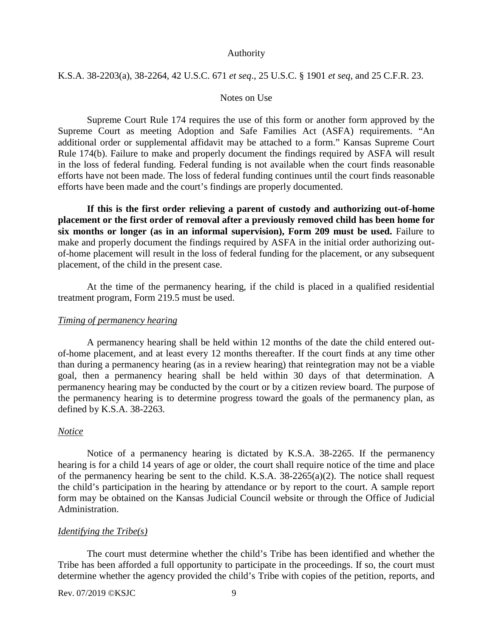### Authority

## K.S.A. 38-2203(a), 38-2264, 42 U.S.C. 671 *et seq*., 25 U.S.C. § 1901 *et seq*, and 25 C.F.R. 23.

## Notes on Use

Supreme Court Rule 174 requires the use of this form or another form approved by the Supreme Court as meeting Adoption and Safe Families Act (ASFA) requirements. "An additional order or supplemental affidavit may be attached to a form." Kansas Supreme Court Rule 174(b). Failure to make and properly document the findings required by ASFA will result in the loss of federal funding. Federal funding is not available when the court finds reasonable efforts have not been made. The loss of federal funding continues until the court finds reasonable efforts have been made and the court's findings are properly documented.

**If this is the first order relieving a parent of custody and authorizing out-of-home placement or the first order of removal after a previously removed child has been home for six months or longer (as in an informal supervision), Form 209 must be used.** Failure to make and properly document the findings required by ASFA in the initial order authorizing outof-home placement will result in the loss of federal funding for the placement, or any subsequent placement, of the child in the present case.

At the time of the permanency hearing, if the child is placed in a qualified residential treatment program, Form 219.5 must be used.

### *Timing of permanency hearing*

A permanency hearing shall be held within 12 months of the date the child entered outof-home placement, and at least every 12 months thereafter. If the court finds at any time other than during a permanency hearing (as in a review hearing) that reintegration may not be a viable goal, then a permanency hearing shall be held within 30 days of that determination. A permanency hearing may be conducted by the court or by a citizen review board. The purpose of the permanency hearing is to determine progress toward the goals of the permanency plan, as defined by K.S.A. 38-2263.

## *Notice*

Notice of a permanency hearing is dictated by K.S.A. 38-2265. If the permanency hearing is for a child 14 years of age or older, the court shall require notice of the time and place of the permanency hearing be sent to the child. K.S.A. 38-2265(a)(2). The notice shall request the child's participation in the hearing by attendance or by report to the court. A sample report form may be obtained on the Kansas Judicial Council website or through the Office of Judicial Administration.

#### *Identifying the Tribe(s)*

The court must determine whether the child's Tribe has been identified and whether the Tribe has been afforded a full opportunity to participate in the proceedings. If so, the court must determine whether the agency provided the child's Tribe with copies of the petition, reports, and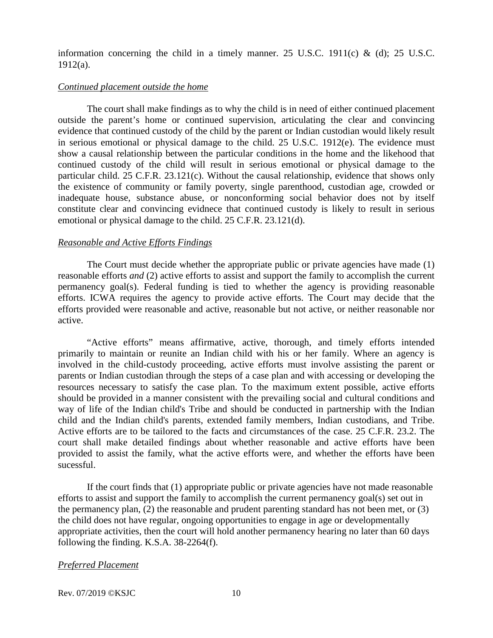information concerning the child in a timely manner. 25 U.S.C. 1911(c) & (d); 25 U.S.C. 1912(a).

## *Continued placement outside the home*

 The court shall make findings as to why the child is in need of either continued placement outside the parent's home or continued supervision, articulating the clear and convincing evidence that continued custody of the child by the parent or Indian custodian would likely result in serious emotional or physical damage to the child. 25 U.S.C. 1912(e). The evidence must show a causal relationship between the particular conditions in the home and the likehood that continued custody of the child will result in serious emotional or physical damage to the particular child. 25 C.F.R. 23.121(c). Without the causal relationship, evidence that shows only the existence of community or family poverty, single parenthood, custodian age, crowded or inadequate house, substance abuse, or nonconforming social behavior does not by itself constitute clear and convincing evidnece that continued custody is likely to result in serious emotional or physical damage to the child. 25 C.F.R. 23.121(d).

#### *Reasonable and Active Efforts Findings*

The Court must decide whether the appropriate public or private agencies have made (1) reasonable efforts *and* (2) active efforts to assist and support the family to accomplish the current permanency goal(s). Federal funding is tied to whether the agency is providing reasonable efforts. ICWA requires the agency to provide active efforts. The Court may decide that the efforts provided were reasonable and active, reasonable but not active, or neither reasonable nor active.

"Active efforts" means affirmative, active, thorough, and timely efforts intended primarily to maintain or reunite an Indian child with his or her family. Where an agency is involved in the child-custody proceeding, active efforts must involve assisting the parent or parents or Indian custodian through the steps of a case plan and with accessing or developing the resources necessary to satisfy the case plan. To the maximum extent possible, active efforts should be provided in a manner consistent with the prevailing social and cultural conditions and way of life of the Indian child's Tribe and should be conducted in partnership with the Indian child and the Indian child's parents, extended family members, Indian custodians, and Tribe. Active efforts are to be tailored to the facts and circumstances of the case. 25 C.F.R. 23.2. The court shall make detailed findings about whether reasonable and active efforts have been provided to assist the family, what the active efforts were, and whether the efforts have been sucessful.

 If the court finds that (1) appropriate public or private agencies have not made reasonable efforts to assist and support the family to accomplish the current permanency goal(s) set out in the permanency plan, (2) the reasonable and prudent parenting standard has not been met, or (3) the child does not have regular, ongoing opportunities to engage in age or developmentally appropriate activities, then the court will hold another permanency hearing no later than 60 days following the finding. K.S.A. 38-2264(f).

#### *Preferred Placement*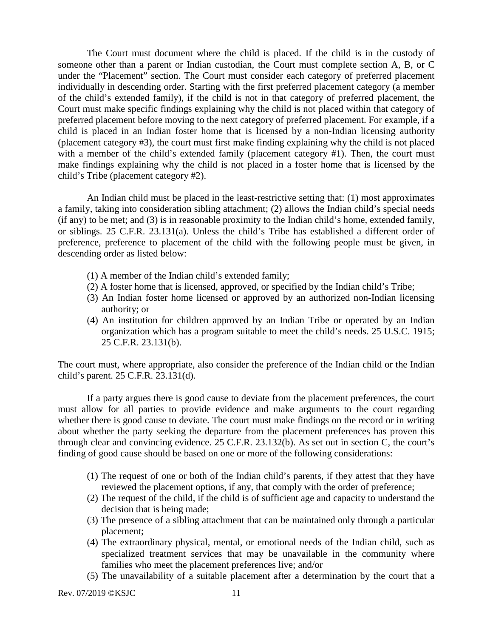The Court must document where the child is placed. If the child is in the custody of someone other than a parent or Indian custodian, the Court must complete section A, B, or C under the "Placement" section. The Court must consider each category of preferred placement individually in descending order. Starting with the first preferred placement category (a member of the child's extended family), if the child is not in that category of preferred placement, the Court must make specific findings explaining why the child is not placed within that category of preferred placement before moving to the next category of preferred placement. For example, if a child is placed in an Indian foster home that is licensed by a non-Indian licensing authority (placement category #3), the court must first make finding explaining why the child is not placed with a member of the child's extended family (placement category #1). Then, the court must make findings explaining why the child is not placed in a foster home that is licensed by the child's Tribe (placement category #2).

An Indian child must be placed in the least-restrictive setting that: (1) most approximates a family, taking into consideration sibling attachment; (2) allows the Indian child's special needs (if any) to be met; and (3) is in reasonable proximity to the Indian child's home, extended family, or siblings. 25 C.F.R. 23.131(a). Unless the child's Tribe has established a different order of preference, preference to placement of the child with the following people must be given, in descending order as listed below:

- (1) A member of the Indian child's extended family;
- (2) A foster home that is licensed, approved, or specified by the Indian child's Tribe;
- (3) An Indian foster home licensed or approved by an authorized non-Indian licensing authority; or
- (4) An institution for children approved by an Indian Tribe or operated by an Indian organization which has a program suitable to meet the child's needs. 25 U.S.C. 1915; 25 C.F.R. 23.131(b).

The court must, where appropriate, also consider the preference of the Indian child or the Indian child's parent. 25 C.F.R. 23.131(d).

If a party argues there is good cause to deviate from the placement preferences, the court must allow for all parties to provide evidence and make arguments to the court regarding whether there is good cause to deviate. The court must make findings on the record or in writing about whether the party seeking the departure from the placement preferences has proven this through clear and convincing evidence. 25 C.F.R. 23.132(b). As set out in section C, the court's finding of good cause should be based on one or more of the following considerations:

- (1) The request of one or both of the Indian child's parents, if they attest that they have reviewed the placement options, if any, that comply with the order of preference;
- (2) The request of the child, if the child is of sufficient age and capacity to understand the decision that is being made;
- (3) The presence of a sibling attachment that can be maintained only through a particular placement;
- (4) The extraordinary physical, mental, or emotional needs of the Indian child, such as specialized treatment services that may be unavailable in the community where families who meet the placement preferences live; and/or
- (5) The unavailability of a suitable placement after a determination by the court that a